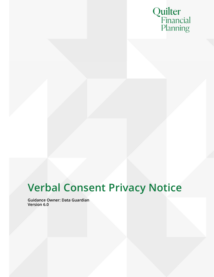

# Verbal Consent Privacy Notice

Guidance Owner: Data Guardian Version 6.0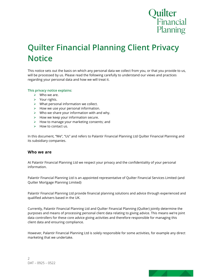

# Quilter Financial Planning Client Privacy **Notice**

This notice sets out the basis on which any personal data we collect from you, or that you provide to us, will be processed by us. Please read the following carefully to understand our views and practices regarding your personal data and how we will treat it.

#### This privacy notice explains:

- $\triangleright$  Who we are.
- $\triangleright$  Your rights.
- $\triangleright$  What personal information we collect.
- $\triangleright$  How we use your personal information.
- $\triangleright$  Who we share your information with and why.
- $\triangleright$  How we keep your information secure.
- $\triangleright$  How to manage your marketing consents; and
- $\triangleright$  How to contact us.

In this document, "We", "Us" and refers to Palantir Financial Planning Ltd Quilter Financial Planning and its subsidiary companies.

#### Who we are

At Palantir Financial Planning Ltd we respect your privacy and the confidentiality of your personal information.

Palantir Financial Planning Ltd is an appointed representative of Quilter Financial Services Limited {and Quilter Mortgage Planning Limited}

Palantir Financial Planning Ltd provide financial planning solutions and advice through experienced and qualified advisers based in the UK.

Currently, Palantir Financial Planning Ltd and Quilter Financial Planning (Quilter) jointly determine the purposes and means of processing personal client data relating to giving advice. This means we're joint data controllers for these core advice giving activities and therefore responsible for managing this client data and ensuring compliance.

However, Palantir Financial Planning Ltd is solely responsible for some activities, for example any direct marketing that we undertake.

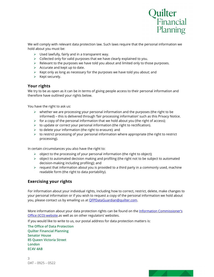

We will comply with relevant data protection law. Such laws require that the personal information we hold about you must be:

- $\triangleright$  Used lawfully, fairly and in a transparent way.
- $\triangleright$  Collected only for valid purposes that we have clearly explained to you.
- $\triangleright$  Relevant to the purposes we have told you about and limited only to those purposes.
- $\triangleright$  Accurate and kept up to date.
- $\triangleright$  Kept only as long as necessary for the purposes we have told you about; and
- $\triangleright$  Kept securely.

### Your rights

We try to be as open as it can be in terms of giving people access to their personal information and therefore have outlined your rights below.

You have the right to ask us:

- $\triangleright$  whether we are processing your personal information and the purposes (the right to be informed) – this is delivered through 'fair processing information' such as this Privacy Notice.
- $\triangleright$  for a copy of the personal information that we hold about you (the right of access);
- $\triangleright$  to update or correct your personal information (the right to rectification).
- $\triangleright$  to delete your information (the right to erasure); and
- $\triangleright$  to restrict processing of your personal information where appropriate (the right to restrict processing).

In certain circumstances you also have the right to:

- $\triangleright$  object to the processing of your personal information (the right to object);
- $\triangleright$  object to automated decision making and profiling (the right not to be subject to automated decision-making including profiling); and
- $\triangleright$  request that information about you is provided to a third party in a commonly used, machine readable form (the right to data portability).

# Exercising your rights

For information about your individual rights, including how to correct, restrict, delete, make changes to your personal information or if you wish to request a copy of the personal information we hold about you, please contact us by emailing us at <u>QFPDataGuardian@quilter.com</u>.<br>More information about your data protection rights can be found on the <u>Information Commissioner's</u>

Office (ICO) website.as well as on other regulators' websites.

If you would like to write to us, our postal address for data protection matters is:

The Office of Data Protection Quilter Financial Planning Senator House 85 Queen Victoria Street London EC4V 4AB

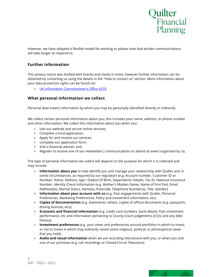

However, we have adopted a flexible model for working so please note that written communications will take longer to respond to.

# Further information

This privacy notice was drafted with brevity and clarity in mind, however further information can be obtained by contacting us using the details in the "How to contact us" section. More information about your data protection rights can be found via:

UK Information Commissioner's Office (ICO)

# What personal information we collect

Personal data means information by which you may be personally identified directly or indirectly.

We collect certain personal information about you, this includes your name, address, or phone number and other information. We collect this information about you when you:

- $\triangleright$  Use our website and secure online services;
- $\triangleright$  Complete a fund application;
- $\triangleright$  Apply for and receive our services.
- $\triangleright$  complete our application form.
- $\triangleright$  Visit a financial adviser: and
- $\triangleright$  Register to receive one of our newsletters, communications or attend an event organised by Us.

The type of personal information we collect will depend on the purpose for which it is collected and may include:

- $\triangleright$  Information about you to help identify you and manage your relationship with Quilter and, in some circumstances, as required by our regulators (e.g. Account number, Customer ID or Number, Name, Address, Age / Date(s) Of Birth, Dependents' Details, Tax ID, National Insurance Number, Identity Check Information (e.g. Mother's Maiden Name, Name of First Pet), Email Address(es), Marital Status, Name(s), Postcode, Telephone Number(s), Title, Gender);
- **Information about your account with us** (e.g. Past engagements with Quilter, Personal Preferences, Marketing Preferences, Policy and investment information, etc);
- **Copies of documentation** (e.g. statements, letters, copies of official documents (e.g. passports, driving licences, etc));
- Economic and financial information (e.g. credit card numbers, bank details, Past investment performance, etc and information pertaining to County Court Judgements (CCJs) and any debt history);
- Investment preferences (e.g. your views and preferences around portfolios in which to invest, or not to invest in which may indirectly reveal some religious, political, or philosophical views that you hold).
- $\triangleright$  Audio and visual information when we are recording interactions with you, or when you visit one of our premises (e.g. call recordings or Closed-Circuit Television);

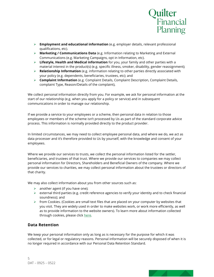

- Employment and educational information (e.g. employer details, relevant professional qualifications, etc).
- $\triangleright$  **Marketing / Communications Data** (e.g. Information relating to Marketing and External Communications (e.g. Marketing Campaigns, opt in Information, etc).
- $\triangleright$  Lifestyle, Health and Medical information for you, your family and other parties with a material interest in the product(s) (e.g. specific illness, smoker, disability, gender reassignment);
- Elationship Information (e.g. information relating to other parties directly associated with your policy (e.g. dependents, beneficiaries, trustees, etc); and
- **Complaint Information** (e.g. Complaint Details, Complaint Description, Complaint Details, complaint Type, Reason/Details of the complaint),

We collect personal information directly from you. For example, we ask for personal information at the start of our relationship (e.g. when you apply for a policy or service) and in subsequent communications in order to manage our relationship.

If we provide a service to your employees or a scheme, then personal data in relation to those employees or members of the scheme isn't processed by Us as part of the standard corporate advice process. This information is normally provided directly to the product provider.

In limited circumstances, we may need to collect employee personal data, and where we do, we act as data processer and it's therefore provided to Us by yourself, with the knowledge and consent of your employees.

Where we provide our services to trusts, we collect the personal information listed for the settler, beneficiaries, and trustees of that trust. Where we provide our services to companies we may collect personal information for Directors, Shareholders and Beneficial Owners of the company. Where we provide our services to charities, we may collect personal information about the trustees or directors of that charity.

We may also collect information about you from other sources such as:

- $\triangleright$  another agent (if you have one);
- $\triangleright$  external third parties (e.g. credit reference agencies to verify your identity and to check financial soundness); and
- $\triangleright$  from Cookies. (Cookies are small text files that are placed on your computer by websites that you visit. They are widely used in order to make websites work, or work more efficiently, as well as to provide information to the website owners). To learn more about information collected through cookies, please click here.

# Data Retention

We keep your personal information only as long as is necessary for the purpose for which it was collected, or for legal or regulatory reasons. Personal information will be securely disposed of when it is no longer required in accordance with our Personal Data Retention Standard.

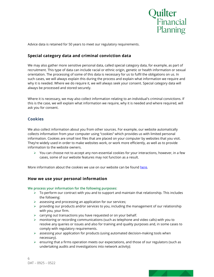

Advice data is retained for 50 years to meet our regulatory requirements.

# Special category data and criminal conviction data

We may also gather more sensitive personal data, called special category data, for example, as part of recruitment. This type of data can include racial or ethnic origin, genetic or health information or sexual orientation. The processing of some of this data is necessary for us to fulfil the obligations on us. In such cases, we will always explain this during the process and explain what information we require and why it is needed. Where we do require it, we will always seek your consent. Special category data will always be processed and stored securely.

Where it is necessary, we may also collect information relating to an individual's criminal convictions. If this is the case, we will explain what information we require, why it is needed and where required, will ask you for consent.

# **Cookies**

We also collect information about you from other sources. For example, our website automatically collects information from your computer using "cookies" which provides us with limited personal information. Cookies are small text files that are placed on your computer by websites that you visit. They're widely used in order to make websites work, or work more efficiently, as well as to provide information to the website owners.

 $\triangleright$  You can choose not to accept any non-essential cookies for your interactions, however, in a few cases, some of our website features may not function as a result.

More information about the cookies we use on our website can be found here.

# How we use your personal information

We process your information for the following purposes:

- $\triangleright$  To perform our contract with you and to support and maintain that relationship. This includes the following:
- $\triangleright$  assessing and processing an application for our services;
- $\triangleright$  providing our products and/or services to you, including the management of our relationship with you, your firm.
- $\triangleright$  carrying out transactions you have requested or on your behalf.
- $\triangleright$  monitoring or recording communications (such as telephone and video calls) with you to resolve any queries or issues and also for training and quality purposes and, in some cases to comply with regulatory requirements.
- $\triangleright$  assessing your application for products (using automated decision-making tools when necessary).
- $\triangleright$  ensuring that a firms operation meets our expectations, and those of our regulators (such as undertaking audits and investigations into network activity);

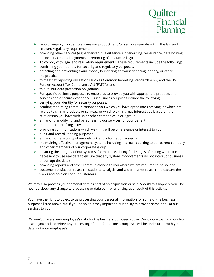

- $\triangleright$  record keeping in order to ensure our products and/or services operate within the law and relevant regulatory requirements.
- $\triangleright$  providing other services (e.g. enhanced due diligence, underwriting, reinsurance, data hosting, online services, and payments or reporting of any tax or levy).
- $\triangleright$  To comply with legal and regulatory requirements. These requirements include the following:
- $\triangleright$  confirming your identity for security and regulatory purposes.
- $\triangleright$  detecting and preventing fraud, money laundering, terrorist financing, bribery, or other malpractice.
- $\triangleright$  to meet tax reporting obligations such as Common Reporting Standards (CRS) and the US Foreign Account Tax Compliance Act (FATCA); and
- $\triangleright$  to fulfil our data protection obligations.
- $\triangleright$  For specific business purposes to enable us to provide you with appropriate products and services and a secure experience. Our business purposes include the following:
- $\triangleright$  verifying your identity for security purposes.
- $\triangleright$  sending marketing communications to you which you have opted into receiving, or which are related to similar products or services, or which we think may interest you based on the relationship you have with Us or other companies in our group.
- $\triangleright$  enhancing, modifying, and personalising our services for your benefit.
- $\triangleright$  to undertake Profiling activities.
- $\triangleright$  providing communications which we think will be of relevance or interest to you.
- $\triangleright$  audit and record keeping purposes.
- enhancing the security of our network and information systems.
- $\triangleright$  maintaining effective management systems including internal reporting to our parent company and other members of our corporate group.
- $\triangleright$  ensuring the integrity of our systems (for example, during final stages of testing where it is necessary to use real data to ensure that any system improvements do not interrupt business or corrupt the data);
- $\triangleright$  providing reports and other communications to you where we are required to do so; and
- $\triangleright$  customer satisfaction research, statistical analysis, and wider market research to capture the views and opinions of our customers.

We may also process your personal data as part of an acquisition or sale. Should this happen, you'll be notified about any change to processing or data controller arising as a result of this activity.

You have the right to object to us processing your personal information for some of the business purposes listed above but, if you do so, this may impact on our ability to provide some or all of our services to you.

We won't process your employee's data for the business purposes above. Our contractual relationship is with you and therefore any processing of data for business purposes will be undertaken with your data, not your employee's.

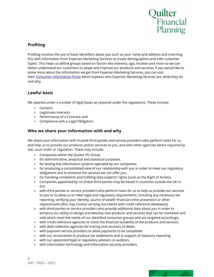

# Profiling

Profiling involves the use of basic identifiers about you such as your name and address and matching this with information from Experian Marketing Services to create demographics and infer customer 'types'. This helps us define groups based on factors like interests, age, location and more so we can better understand our customers to adapt and improve our products and services. If you would like to know more about the information we get from Experian Marketing Services, you can visit their Consumer Information Portal which explains who Experian Marketing Services are, what they do and why.

# Lawful basis

We operate under a number of legal bases as required under the regulations. These include:

- **►** Consent.
- $\blacktriangleright$  Legitimate Interests.
- $\triangleright$  Performance of a Contract; and
- $\triangleright$  Compliance with a Legal Obligation.

# Who we share your information with and why

We share your information with trusted third parties and service providers who perform tasks for us and help us to provide our products and/or services to you, and with other agencies where required by law, court order or regulation. These may include:

- $\triangleright$  Companies within the Quilter Plc Group
- $\triangleright$  for administrative, analytical and statistical purposes.
- $\triangleright$  for testing the information systems operated by our companies
- $\triangleright$  for producing a consolidated view of our relationship with you in order to meet our regulatory obligations and to enhance the services we can offer you.
- $\triangleright$  for handling complaints and fulfilling data subjects' rights (such as the Right of Access)
- $\triangleright$  Companies appointed by Us (these third parties may be based in countries outside the UK or EU)
- $\triangleright$  with third parties or service providers who perform tasks for us to help us provide our services to you or to allow us to meet legal and regulatory requirements, including any necessary tax reporting, verifying your identity, source of wealth financial crime prevention or other requirements (this may involve carrying out checks with credit reference databases);
- $\triangleright$  with third parties or service providers who provide additional data about you in order to enhance our ability to design and develop new products and services that can be marketed and sold which meet the needs of our identified consumer groups and are targeted accordingly.
- $\triangleright$  with credit reference agencies to check the financial suitability of the products and services.
- $\triangleright$  with debt collection agencies for tracing and recovery of debts.
- $\triangleright$  with payment service providers to allow payments to be completed.
- $\triangleright$  with our accountants to produce tax statements and in support of statutory reporting.
- $\triangleright$  with our appointed legal or regulatory advisers or auditors.
- $\triangleright$  with information technology and information security providers.

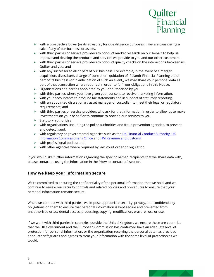

- $\triangleright$  with a prospective buyer (or its advisors), for due diligence purposes, if we are considering a sale of any of our business or assets.
- $\triangleright$  with third parties or service providers to conduct market research on our behalf, to help us improve and develop the products and services we provide to you and our other customers.
- $\triangleright$  with third parties or service providers to conduct quality checks on the interactions between us, Quilter and you; and
- $\triangleright$  with any successor to all or part of our business. For example, in the event of a merger, acquisition, divestiture, change of control or liquidation of Palantir Financial Planning Ltd or part of its business (or in anticipation of such an event), we may share your personal data as part of that transaction where required in order to fulfil our obligations in this Notice.
- $\triangleright$  Organisations and parties appointed by you or authorised by you
- $\triangleright$  with third parties where you have given your consent to receive marketing information.
- $\triangleright$  with your accountants to produce tax statements and in support of statutory reporting
- $\triangleright$  with an appointed discretionary asset manager or custodian to meet their legal or regulatory requirements; and
- $\triangleright$  with third parties or service providers who ask for that information in order to allow us to make investments on your behalf or to continue to provide our services to you.
- $\triangleright$  Statutory authorities
- $\triangleright$  with organisations, including the police authorities and fraud prevention agencies, to prevent and detect fraud;
- $\triangleright$  with regulatory or governmental agencies such as the UK Financial Conduct Authority, UK Information Commissioner's Office and HM Revenue and Customs;
- $\triangleright$  with professional bodies; and
- $\triangleright$  with other agencies where required by law, court order or regulation.

If you would like further information regarding the specific named recipients that we share data with, please contact us using the information in the "How to contact us" section.

# How we keep your information secure

We're committed to ensuring the confidentiality of the personal information that we hold, and we continue to review our security controls and related policies and procedures to ensure that your personal information remains secure.

When we contract with third parties, we impose appropriate security, privacy, and confidentiality obligations on them to ensure that personal information is kept secure and prevented from unauthorised or accidental access, processing, copying, modification, erasure, loss or use.

If we work with third parties in countries outside the United Kingdom, we ensure these are countries that the UK Government and the European Commission has confirmed have an adequate level of protection for personal information, or the organisation receiving the personal data has provided adequate safeguards and agrees to treat your information with the same level of protection as we would.

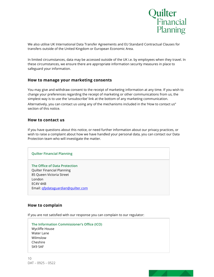

We also utilise UK International Data Transfer Agreements and EU Standard Contractual Clauses for transfers outside of the United Kingdom or European Economic Area.

In limited circumstances, data may be accessed outside of the UK i.e. by employees when they travel. In these circumstances, we ensure there are appropriate information security measures in place to safeguard your information.

### How to manage your marketing consents

You may give and withdraw consent to the receipt of marketing information at any time. If you wish to change your preferences regarding the receipt of marketing or other communications from us, the simplest way is to use the 'unsubscribe' link at the bottom of any marketing communication.

Alternatively, you can contact us using any of the mechanisms included in the 'How to contact us" section of this notice.

### How to contact us

If you have questions about this notice, or need further information about our privacy practices, or wish to raise a complaint about how we have handled your personal data, you can contact our Data Protection team who will investigate the matter.

#### Quilter Financial Planning

The Office of Data Protection Quilter Financial Planning 85 Queen Victoria Street London EC4V 4AB Email: qfpdataguardian@quilter.com

# How to complain

If you are not satisfied with our response you can complain to our regulator:

The Information Commissioner's Office (ICO) Wycliffe House Water Lane Wilmslow Cheshire SK9 5AF

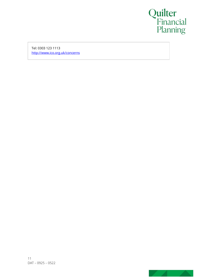

Tel: 0303 123 1113 http://www.ico.org.uk/concerns